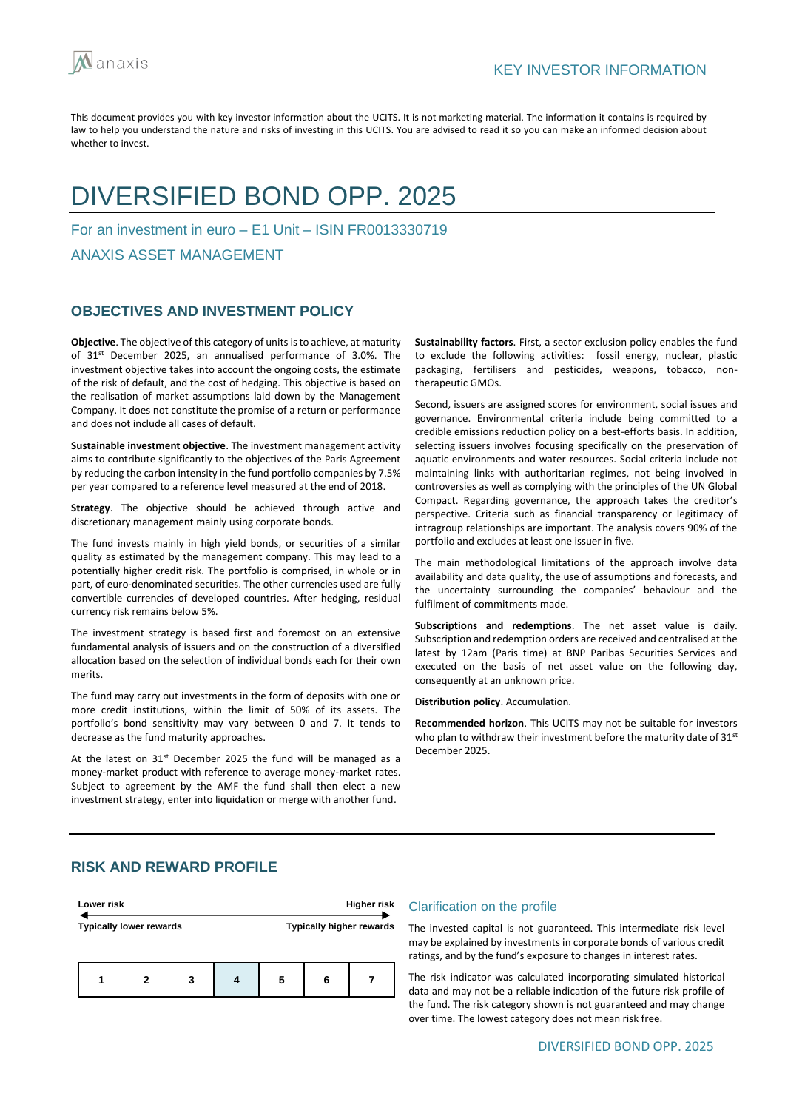

# DIVERSIFIED BOND OPP. 2025

For an investment in euro – E1 Unit – ISIN FR0013330719

ANAXIS ASSET MANAGEMENT

## **OBJECTIVES AND INVESTMENT POLICY**

**Objective**. The objective of this category of units is to achieve, at maturity of 31st December 2025, an annualised performance of 3.0%. The investment objective takes into account the ongoing costs, the estimate of the risk of default, and the cost of hedging. This objective is based on the realisation of market assumptions laid down by the Management Company. It does not constitute the promise of a return or performance and does not include all cases of default.

**Sustainable investment objective**. The investment management activity aims to contribute significantly to the objectives of the Paris Agreement by reducing the carbon intensity in the fund portfolio companies by 7.5% per year compared to a reference level measured at the end of 2018.

**Strategy**. The objective should be achieved through active and discretionary management mainly using corporate bonds.

The fund invests mainly in high yield bonds, or securities of a similar quality as estimated by the management company. This may lead to a potentially higher credit risk. The portfolio is comprised, in whole or in part, of euro-denominated securities. The other currencies used are fully convertible currencies of developed countries. After hedging, residual currency risk remains below 5%.

The investment strategy is based first and foremost on an extensive fundamental analysis of issuers and on the construction of a diversified allocation based on the selection of individual bonds each for their own merits.

The fund may carry out investments in the form of deposits with one or more credit institutions, within the limit of 50% of its assets. The portfolio's bond sensitivity may vary between 0 and 7. It tends to decrease as the fund maturity approaches.

At the latest on  $31<sup>st</sup>$  December 2025 the fund will be managed as a money-market product with reference to average money-market rates. Subject to agreement by the AMF the fund shall then elect a new investment strategy, enter into liquidation or merge with another fund.

**Sustainability factors**. First, a sector exclusion policy enables the fund to exclude the following activities: fossil energy, nuclear, plastic packaging, fertilisers and pesticides, weapons, tobacco, nontherapeutic GMOs.

Second, issuers are assigned scores for environment, social issues and governance. Environmental criteria include being committed to a credible emissions reduction policy on a best-efforts basis. In addition, selecting issuers involves focusing specifically on the preservation of aquatic environments and water resources. Social criteria include not maintaining links with authoritarian regimes, not being involved in controversies as well as complying with the principles of the UN Global Compact. Regarding governance, the approach takes the creditor's perspective. Criteria such as financial transparency or legitimacy of intragroup relationships are important. The analysis covers 90% of the portfolio and excludes at least one issuer in five.

The main methodological limitations of the approach involve data availability and data quality, the use of assumptions and forecasts, and the uncertainty surrounding the companies' behaviour and the fulfilment of commitments made.

**Subscriptions and redemptions**. The net asset value is daily. Subscription and redemption orders are received and centralised at the latest by 12am (Paris time) at BNP Paribas Securities Services and executed on the basis of net asset value on the following day, consequently at an unknown price.

**Distribution policy**. Accumulation.

**Recommended horizon**. This UCITS may not be suitable for investors who plan to withdraw their investment before the maturity date of 31<sup>st</sup> December 2025.

## **RISK AND REWARD PROFILE**

| Lower risk                     |   |   |   |   | <b>Higher risk</b>              |
|--------------------------------|---|---|---|---|---------------------------------|
| <b>Typically lower rewards</b> |   |   |   |   | <b>Typically higher rewards</b> |
|                                | 2 | 3 | 5 | 6 |                                 |

#### Clarification on the profile

The invested capital is not guaranteed. This intermediate risk level may be explained by investments in corporate bonds of various credit ratings, and by the fund's exposure to changes in interest rates.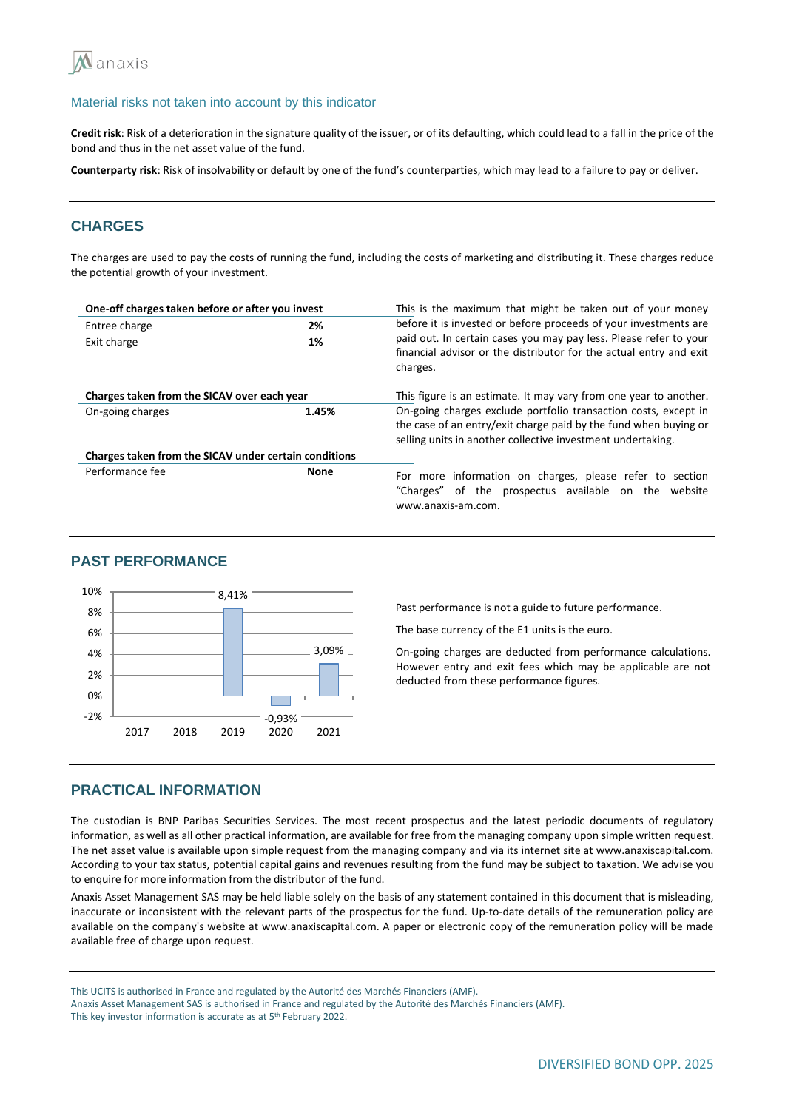

**Credit risk**: Risk of a deterioration in the signature quality of the issuer, or of its defaulting, which could lead to a fall in the price of the bond and thus in the net asset value of the fund.

**Counterparty risk**: Risk of insolvability or default by one of the fund's counterparties, which may lead to a failure to pay or deliver.

## **CHARGES**

The charges are used to pay the costs of running the fund, including the costs of marketing and distributing it. These charges reduce the potential growth of your investment.

| One-off charges taken before or after you invest      |             | This is the maximum that might be taken out of your money                                                                                                                                          |  |  |
|-------------------------------------------------------|-------------|----------------------------------------------------------------------------------------------------------------------------------------------------------------------------------------------------|--|--|
| Entree charge                                         | 2%          | before it is invested or before proceeds of your investments are                                                                                                                                   |  |  |
| Exit charge                                           | 1%          | paid out. In certain cases you may pay less. Please refer to your<br>financial advisor or the distributor for the actual entry and exit<br>charges.                                                |  |  |
| Charges taken from the SICAV over each year           |             | This figure is an estimate. It may vary from one year to another.                                                                                                                                  |  |  |
| On-going charges                                      | 1.45%       | On-going charges exclude portfolio transaction costs, except in<br>the case of an entry/exit charge paid by the fund when buying or<br>selling units in another collective investment undertaking. |  |  |
| Charges taken from the SICAV under certain conditions |             |                                                                                                                                                                                                    |  |  |
| Performance fee                                       | <b>None</b> | For more information on charges, please refer to section<br>"Charges" of the prospectus available on the website<br>www.anaxis-am.com.                                                             |  |  |

## **PAST PERFORMANCE**



Past performance is not a guide to future performance.

The base currency of the E1 units is the euro.

On-going charges are deducted from performance calculations. However entry and exit fees which may be applicable are not deducted from these performance figures.

#### **PRACTICAL INFORMATION**

The custodian is BNP Paribas Securities Services. The most recent prospectus and the latest periodic documents of regulatory information, as well as all other practical information, are available for free from the managing company upon simple written request. The net asset value is available upon simple request from the managing company and via its internet site at www.anaxiscapital.com. According to your tax status, potential capital gains and revenues resulting from the fund may be subject to taxation. We advise you to enquire for more information from the distributor of the fund.

Anaxis Asset Management SAS may be held liable solely on the basis of any statement contained in this document that is misleading, inaccurate or inconsistent with the relevant parts of the prospectus for the fund. Up-to-date details of the remuneration policy are available on the company's website at www.anaxiscapital.com. A paper or electronic copy of the remuneration policy will be made available free of charge upon request.

This UCITS is authorised in France and regulated by the Autorité des Marchés Financiers (AMF).

Anaxis Asset Management SAS is authorised in France and regulated by the Autorité des Marchés Financiers (AMF).

This key investor information is accurate as at 5<sup>th</sup> February 2022.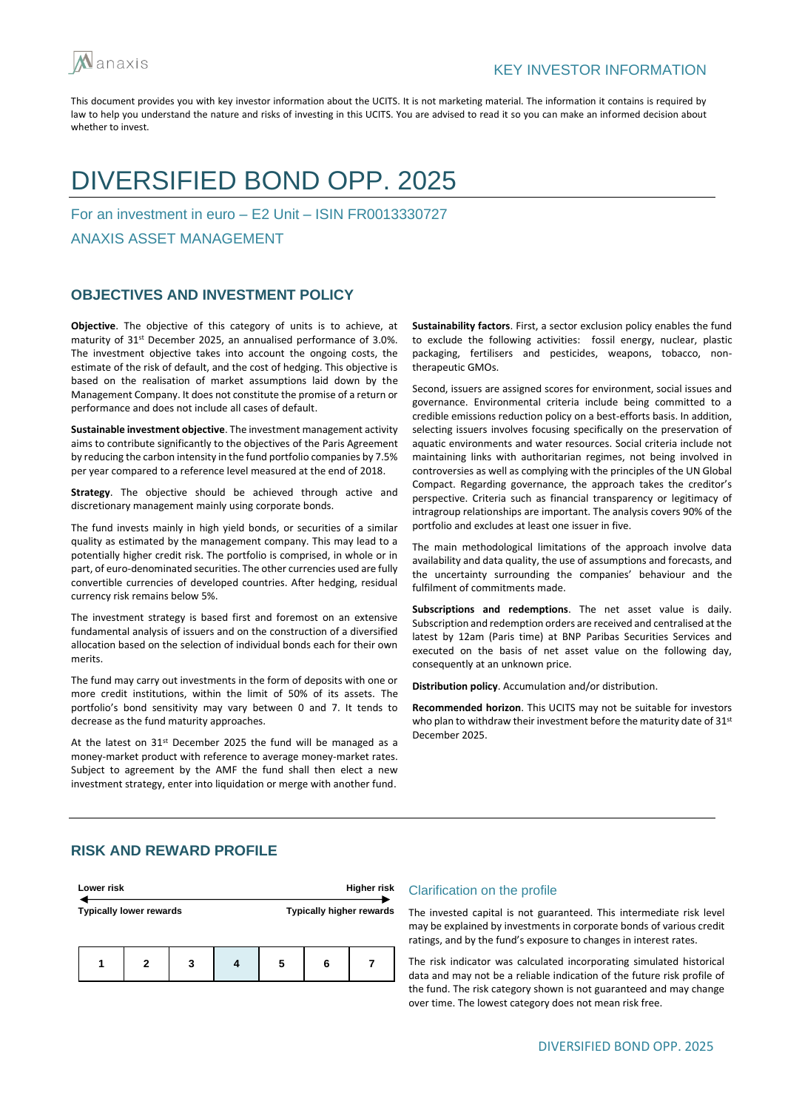

## DIVERSIFIED BOND OPP. 2025

For an investment in euro – E2 Unit – ISIN FR0013330727

ANAXIS ASSET MANAGEMENT

## **OBJECTIVES AND INVESTMENT POLICY**

**Objective**. The objective of this category of units is to achieve, at maturity of 31<sup>st</sup> December 2025, an annualised performance of 3.0%. The investment objective takes into account the ongoing costs, the estimate of the risk of default, and the cost of hedging. This objective is based on the realisation of market assumptions laid down by the Management Company. It does not constitute the promise of a return or performance and does not include all cases of default.

**Sustainable investment objective**. The investment management activity aims to contribute significantly to the objectives of the Paris Agreement by reducing the carbon intensity in the fund portfolio companies by 7.5% per year compared to a reference level measured at the end of 2018.

**Strategy**. The objective should be achieved through active and discretionary management mainly using corporate bonds.

The fund invests mainly in high yield bonds, or securities of a similar quality as estimated by the management company. This may lead to a potentially higher credit risk. The portfolio is comprised, in whole or in part, of euro-denominated securities. The other currencies used are fully convertible currencies of developed countries. After hedging, residual currency risk remains below 5%.

The investment strategy is based first and foremost on an extensive fundamental analysis of issuers and on the construction of a diversified allocation based on the selection of individual bonds each for their own merits.

The fund may carry out investments in the form of deposits with one or more credit institutions, within the limit of 50% of its assets. The portfolio's bond sensitivity may vary between 0 and 7. It tends to decrease as the fund maturity approaches.

At the latest on  $31<sup>st</sup>$  December 2025 the fund will be managed as a money-market product with reference to average money-market rates. Subject to agreement by the AMF the fund shall then elect a new investment strategy, enter into liquidation or merge with another fund.

**Sustainability factors**. First, a sector exclusion policy enables the fund to exclude the following activities: fossil energy, nuclear, plastic packaging, fertilisers and pesticides, weapons, tobacco, nontherapeutic GMOs.

Second, issuers are assigned scores for environment, social issues and governance. Environmental criteria include being committed to a credible emissions reduction policy on a best-efforts basis. In addition, selecting issuers involves focusing specifically on the preservation of aquatic environments and water resources. Social criteria include not maintaining links with authoritarian regimes, not being involved in controversies as well as complying with the principles of the UN Global Compact. Regarding governance, the approach takes the creditor's perspective. Criteria such as financial transparency or legitimacy of intragroup relationships are important. The analysis covers 90% of the portfolio and excludes at least one issuer in five.

The main methodological limitations of the approach involve data availability and data quality, the use of assumptions and forecasts, and the uncertainty surrounding the companies' behaviour and the fulfilment of commitments made.

**Subscriptions and redemptions**. The net asset value is daily. Subscription and redemption orders are received and centralised at the latest by 12am (Paris time) at BNP Paribas Securities Services and executed on the basis of net asset value on the following day, consequently at an unknown price.

**Distribution policy**. Accumulation and/or distribution.

**Recommended horizon**. This UCITS may not be suitable for investors who plan to withdraw their investment before the maturity date of 31<sup>st</sup> December 2025.

## **RISK AND REWARD PROFILE**



#### Clarification on the profile

The invested capital is not guaranteed. This intermediate risk level may be explained by investments in corporate bonds of various credit ratings, and by the fund's exposure to changes in interest rates.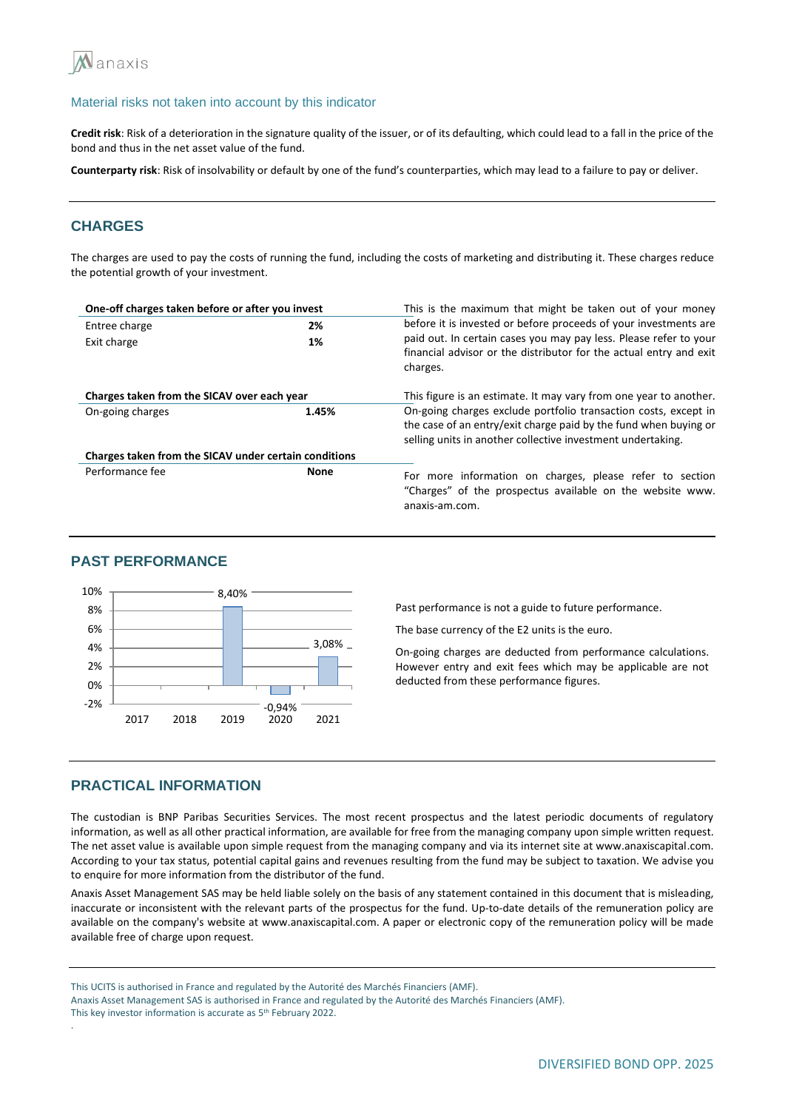

**Credit risk**: Risk of a deterioration in the signature quality of the issuer, or of its defaulting, which could lead to a fall in the price of the bond and thus in the net asset value of the fund.

**Counterparty risk**: Risk of insolvability or default by one of the fund's counterparties, which may lead to a failure to pay or deliver.

## **CHARGES**

The charges are used to pay the costs of running the fund, including the costs of marketing and distributing it. These charges reduce the potential growth of your investment.

| One-off charges taken before or after you invest      |             | This is the maximum that might be taken out of your money                                                                                                                                          |  |  |
|-------------------------------------------------------|-------------|----------------------------------------------------------------------------------------------------------------------------------------------------------------------------------------------------|--|--|
| Entree charge<br>2%                                   |             | before it is invested or before proceeds of your investments are                                                                                                                                   |  |  |
| Exit charge                                           | 1%          | paid out. In certain cases you may pay less. Please refer to your<br>financial advisor or the distributor for the actual entry and exit<br>charges.                                                |  |  |
| Charges taken from the SICAV over each year           |             | This figure is an estimate. It may vary from one year to another.                                                                                                                                  |  |  |
| On-going charges                                      | 1.45%       | On-going charges exclude portfolio transaction costs, except in<br>the case of an entry/exit charge paid by the fund when buying or<br>selling units in another collective investment undertaking. |  |  |
| Charges taken from the SICAV under certain conditions |             |                                                                                                                                                                                                    |  |  |
| Performance fee                                       | <b>None</b> | For more information on charges, please refer to section<br>"Charges" of the prospectus available on the website www.<br>anaxis-am.com.                                                            |  |  |

#### **PAST PERFORMANCE**



Past performance is not a guide to future performance.

The base currency of the E2 units is the euro.

On-going charges are deducted from performance calculations. However entry and exit fees which may be applicable are not deducted from these performance figures.

### **PRACTICAL INFORMATION**

The custodian is BNP Paribas Securities Services. The most recent prospectus and the latest periodic documents of regulatory information, as well as all other practical information, are available for free from the managing company upon simple written request. The net asset value is available upon simple request from the managing company and via its internet site at www.anaxiscapital.com. According to your tax status, potential capital gains and revenues resulting from the fund may be subject to taxation. We advise you to enquire for more information from the distributor of the fund.

Anaxis Asset Management SAS may be held liable solely on the basis of any statement contained in this document that is misleading, inaccurate or inconsistent with the relevant parts of the prospectus for the fund. Up-to-date details of the remuneration policy are available on the company's website at www.anaxiscapital.com. A paper or electronic copy of the remuneration policy will be made available free of charge upon request.

This UCITS is authorised in France and regulated by the Autorité des Marchés Financiers (AMF).

Anaxis Asset Management SAS is authorised in France and regulated by the Autorité des Marchés Financiers (AMF).

.

This key investor information is accurate as 5<sup>th</sup> February 2022.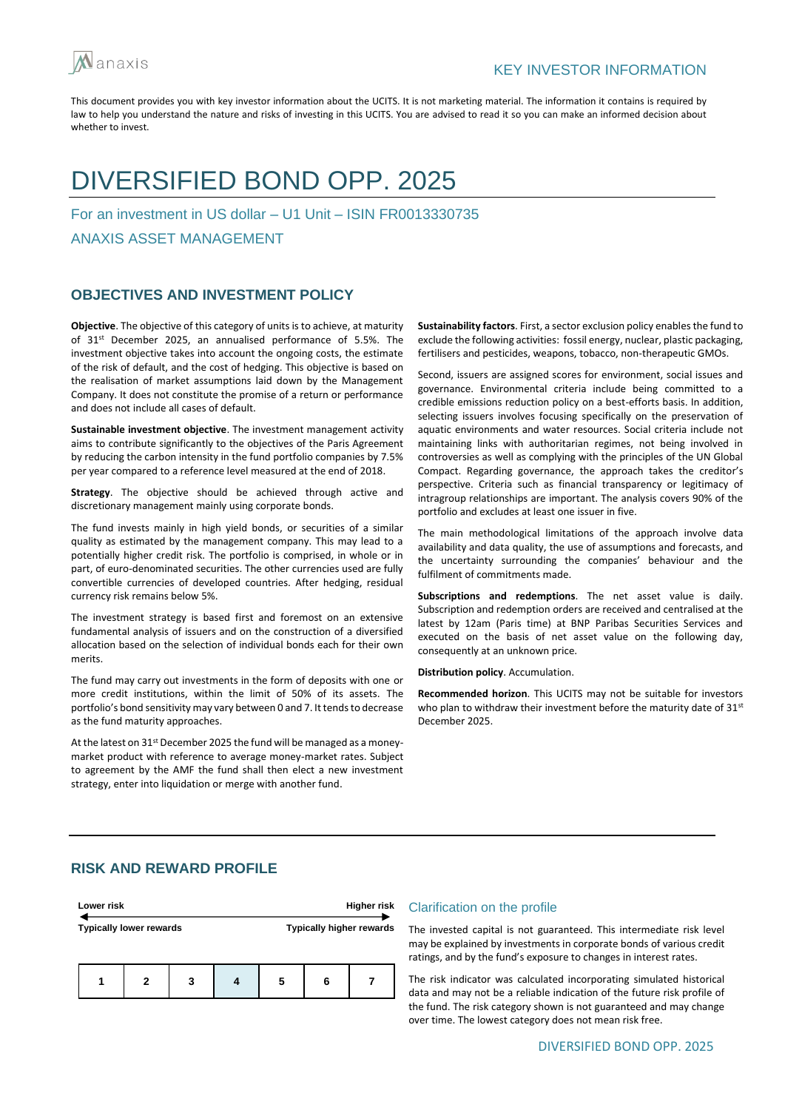

## DIVERSIFIED BOND OPP. 2025

For an investment in US dollar – U1 Unit – ISIN FR0013330735

ANAXIS ASSET MANAGEMENT

## **OBJECTIVES AND INVESTMENT POLICY**

**Objective**. The objective of this category of units is to achieve, at maturity of 31<sup>st</sup> December 2025, an annualised performance of 5.5%. The investment objective takes into account the ongoing costs, the estimate of the risk of default, and the cost of hedging. This objective is based on the realisation of market assumptions laid down by the Management Company. It does not constitute the promise of a return or performance and does not include all cases of default.

**Sustainable investment objective**. The investment management activity aims to contribute significantly to the objectives of the Paris Agreement by reducing the carbon intensity in the fund portfolio companies by 7.5% per year compared to a reference level measured at the end of 2018.

**Strategy**. The objective should be achieved through active and discretionary management mainly using corporate bonds.

The fund invests mainly in high yield bonds, or securities of a similar quality as estimated by the management company. This may lead to a potentially higher credit risk. The portfolio is comprised, in whole or in part, of euro-denominated securities. The other currencies used are fully convertible currencies of developed countries. After hedging, residual currency risk remains below 5%.

The investment strategy is based first and foremost on an extensive fundamental analysis of issuers and on the construction of a diversified allocation based on the selection of individual bonds each for their own merits.

The fund may carry out investments in the form of deposits with one or more credit institutions, within the limit of 50% of its assets. The portfolio's bond sensitivity may vary between 0 and 7. It tends to decrease as the fund maturity approaches.

At the latest on 31<sup>st</sup> December 2025 the fund will be managed as a moneymarket product with reference to average money-market rates. Subject to agreement by the AMF the fund shall then elect a new investment strategy, enter into liquidation or merge with another fund.

**Sustainability factors**. First, a sector exclusion policy enables the fund to exclude the following activities: fossil energy, nuclear, plastic packaging, fertilisers and pesticides, weapons, tobacco, non-therapeutic GMOs.

Second, issuers are assigned scores for environment, social issues and governance. Environmental criteria include being committed to a credible emissions reduction policy on a best-efforts basis. In addition, selecting issuers involves focusing specifically on the preservation of aquatic environments and water resources. Social criteria include not maintaining links with authoritarian regimes, not being involved in controversies as well as complying with the principles of the UN Global Compact. Regarding governance, the approach takes the creditor's perspective. Criteria such as financial transparency or legitimacy of intragroup relationships are important. The analysis covers 90% of the portfolio and excludes at least one issuer in five.

The main methodological limitations of the approach involve data availability and data quality, the use of assumptions and forecasts, and the uncertainty surrounding the companies' behaviour and the fulfilment of commitments made.

**Subscriptions and redemptions**. The net asset value is daily. Subscription and redemption orders are received and centralised at the latest by 12am (Paris time) at BNP Paribas Securities Services and executed on the basis of net asset value on the following day, consequently at an unknown price.

**Distribution policy**. Accumulation.

**Recommended horizon**. This UCITS may not be suitable for investors who plan to withdraw their investment before the maturity date of 31st December 2025.

## **RISK AND REWARD PROFILE**

| Lower risk                     |   |   |  | Higher risk |   |                                 |
|--------------------------------|---|---|--|-------------|---|---------------------------------|
| <b>Typically lower rewards</b> |   |   |  |             |   | <b>Typically higher rewards</b> |
|                                | 2 | 3 |  | 5           | 6 |                                 |

#### Clarification on the profile

The invested capital is not guaranteed. This intermediate risk level may be explained by investments in corporate bonds of various credit ratings, and by the fund's exposure to changes in interest rates.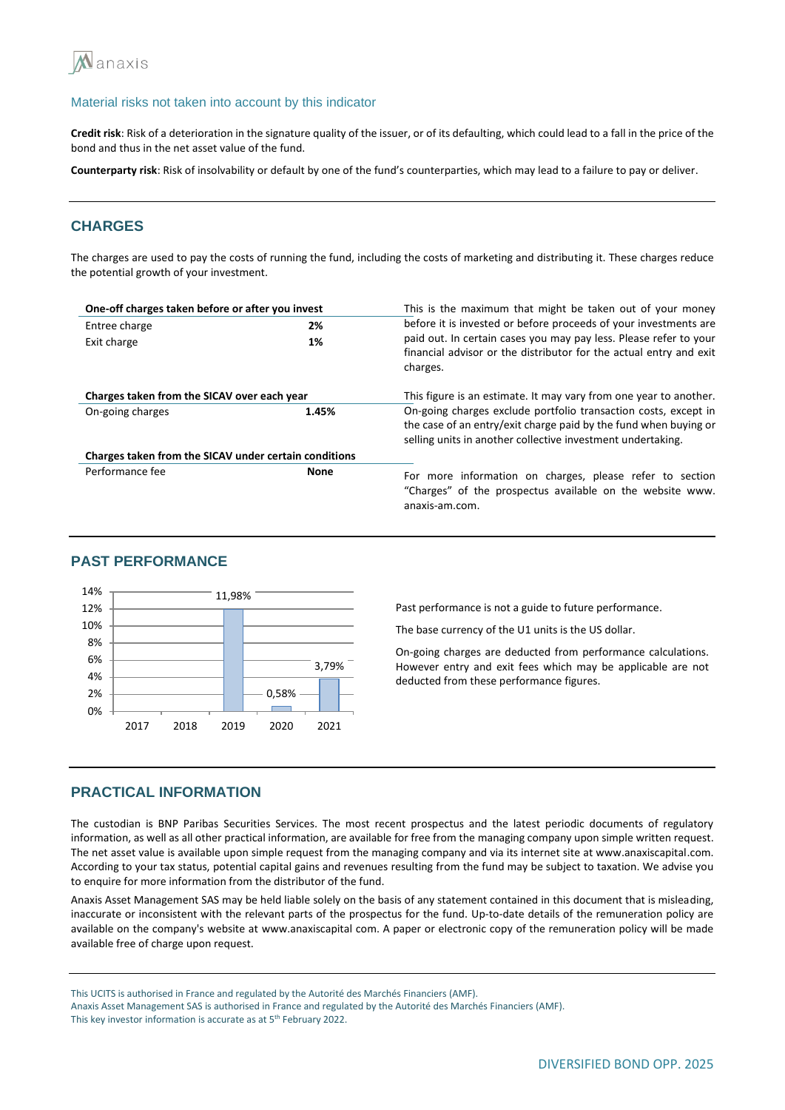

**Credit risk**: Risk of a deterioration in the signature quality of the issuer, or of its defaulting, which could lead to a fall in the price of the bond and thus in the net asset value of the fund.

**Counterparty risk**: Risk of insolvability or default by one of the fund's counterparties, which may lead to a failure to pay or deliver.

## **CHARGES**

The charges are used to pay the costs of running the fund, including the costs of marketing and distributing it. These charges reduce the potential growth of your investment.

| One-off charges taken before or after you invest      |             | This is the maximum that might be taken out of your money                                                                                                                                          |  |  |  |
|-------------------------------------------------------|-------------|----------------------------------------------------------------------------------------------------------------------------------------------------------------------------------------------------|--|--|--|
| 2%<br>Entree charge                                   |             | before it is invested or before proceeds of your investments are                                                                                                                                   |  |  |  |
| Exit charge                                           | 1%          | paid out. In certain cases you may pay less. Please refer to your<br>financial advisor or the distributor for the actual entry and exit<br>charges.                                                |  |  |  |
| Charges taken from the SICAV over each year           |             | This figure is an estimate. It may vary from one year to another.                                                                                                                                  |  |  |  |
| On-going charges                                      | 1.45%       | On-going charges exclude portfolio transaction costs, except in<br>the case of an entry/exit charge paid by the fund when buying or<br>selling units in another collective investment undertaking. |  |  |  |
| Charges taken from the SICAV under certain conditions |             |                                                                                                                                                                                                    |  |  |  |
| Performance fee                                       | <b>None</b> | For more information on charges, please refer to section<br>"Charges" of the prospectus available on the website www.<br>anaxis-am.com.                                                            |  |  |  |

## **PAST PERFORMANCE**



Past performance is not a guide to future performance.

The base currency of the U1 units is the US dollar.

On-going charges are deducted from performance calculations. However entry and exit fees which may be applicable are not deducted from these performance figures.

#### **PRACTICAL INFORMATION**

The custodian is BNP Paribas Securities Services. The most recent prospectus and the latest periodic documents of regulatory information, as well as all other practical information, are available for free from the managing company upon simple written request. The net asset value is available upon simple request from the managing company and via its internet site at www.anaxiscapital.com. According to your tax status, potential capital gains and revenues resulting from the fund may be subject to taxation. We advise you to enquire for more information from the distributor of the fund.

Anaxis Asset Management SAS may be held liable solely on the basis of any statement contained in this document that is misleading, inaccurate or inconsistent with the relevant parts of the prospectus for the fund. Up-to-date details of the remuneration policy are available on the company's website at www.anaxiscapital com. A paper or electronic copy of the remuneration policy will be made available free of charge upon request.

This UCITS is authorised in France and regulated by the Autorité des Marchés Financiers (AMF).

Anaxis Asset Management SAS is authorised in France and regulated by the Autorité des Marchés Financiers (AMF).

This key investor information is accurate as at 5<sup>th</sup> February 2022.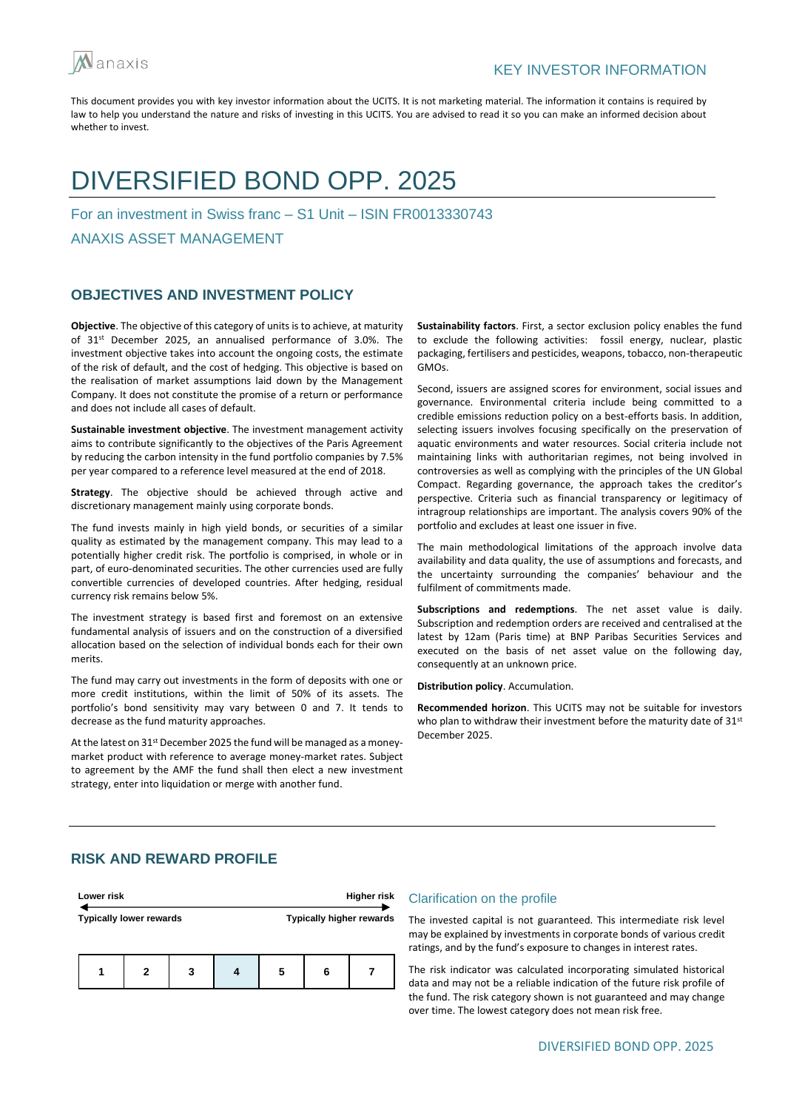

## DIVERSIFIED BOND OPP. 2025

For an investment in Swiss franc – S1 Unit – ISIN FR0013330743

ANAXIS ASSET MANAGEMENT

## **OBJECTIVES AND INVESTMENT POLICY**

**Objective**. The objective of this category of units is to achieve, at maturity of 31<sup>st</sup> December 2025, an annualised performance of 3.0%. The investment objective takes into account the ongoing costs, the estimate of the risk of default, and the cost of hedging. This objective is based on the realisation of market assumptions laid down by the Management Company. It does not constitute the promise of a return or performance and does not include all cases of default.

**Sustainable investment objective**. The investment management activity aims to contribute significantly to the objectives of the Paris Agreement by reducing the carbon intensity in the fund portfolio companies by 7.5% per year compared to a reference level measured at the end of 2018.

**Strategy**. The objective should be achieved through active and discretionary management mainly using corporate bonds.

The fund invests mainly in high yield bonds, or securities of a similar quality as estimated by the management company. This may lead to a potentially higher credit risk. The portfolio is comprised, in whole or in part, of euro-denominated securities. The other currencies used are fully convertible currencies of developed countries. After hedging, residual currency risk remains below 5%.

The investment strategy is based first and foremost on an extensive fundamental analysis of issuers and on the construction of a diversified allocation based on the selection of individual bonds each for their own merits.

The fund may carry out investments in the form of deposits with one or more credit institutions, within the limit of 50% of its assets. The portfolio's bond sensitivity may vary between 0 and 7. It tends to decrease as the fund maturity approaches.

At the latest on 31<sup>st</sup> December 2025 the fund will be managed as a moneymarket product with reference to average money-market rates. Subject to agreement by the AMF the fund shall then elect a new investment strategy, enter into liquidation or merge with another fund.

**Sustainability factors**. First, a sector exclusion policy enables the fund to exclude the following activities: fossil energy, nuclear, plastic packaging, fertilisers and pesticides, weapons, tobacco, non-therapeutic GMOs.

Second, issuers are assigned scores for environment, social issues and governance. Environmental criteria include being committed to a credible emissions reduction policy on a best-efforts basis. In addition, selecting issuers involves focusing specifically on the preservation of aquatic environments and water resources. Social criteria include not maintaining links with authoritarian regimes, not being involved in controversies as well as complying with the principles of the UN Global Compact. Regarding governance, the approach takes the creditor's perspective. Criteria such as financial transparency or legitimacy of intragroup relationships are important. The analysis covers 90% of the portfolio and excludes at least one issuer in five.

The main methodological limitations of the approach involve data availability and data quality, the use of assumptions and forecasts, and the uncertainty surrounding the companies' behaviour and the fulfilment of commitments made.

**Subscriptions and redemptions**. The net asset value is daily. Subscription and redemption orders are received and centralised at the latest by 12am (Paris time) at BNP Paribas Securities Services and executed on the basis of net asset value on the following day, consequently at an unknown price.

**Distribution policy**. Accumulation.

**Recommended horizon**. This UCITS may not be suitable for investors who plan to withdraw their investment before the maturity date of 31<sup>st</sup> December 2025.

## **RISK AND REWARD PROFILE**



#### Clarification on the profile

The invested capital is not guaranteed. This intermediate risk level may be explained by investments in corporate bonds of various credit ratings, and by the fund's exposure to changes in interest rates.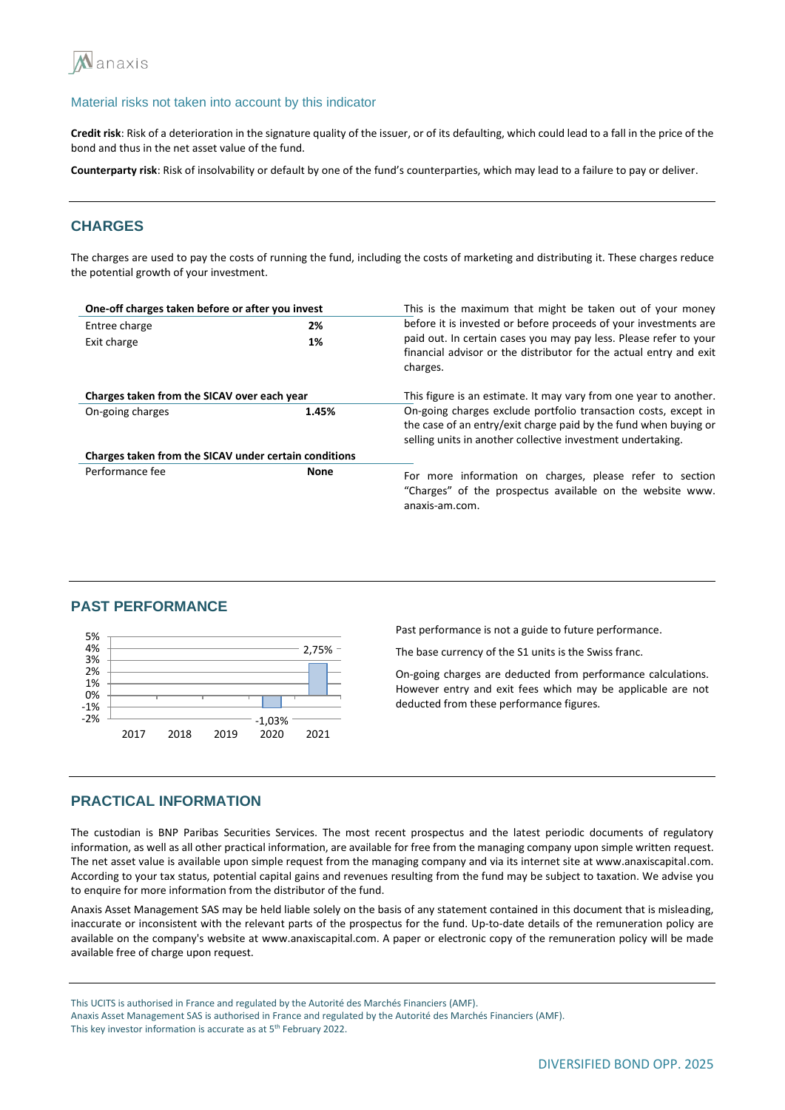

**Credit risk**: Risk of a deterioration in the signature quality of the issuer, or of its defaulting, which could lead to a fall in the price of the bond and thus in the net asset value of the fund.

**Counterparty risk**: Risk of insolvability or default by one of the fund's counterparties, which may lead to a failure to pay or deliver.

## **CHARGES**

The charges are used to pay the costs of running the fund, including the costs of marketing and distributing it. These charges reduce the potential growth of your investment.

| One-off charges taken before or after you invest      |             | This is the maximum that might be taken out of your money                                                                                                                                          |  |  |  |
|-------------------------------------------------------|-------------|----------------------------------------------------------------------------------------------------------------------------------------------------------------------------------------------------|--|--|--|
| Entree charge<br>2%                                   |             | before it is invested or before proceeds of your investments are                                                                                                                                   |  |  |  |
| Exit charge                                           | 1%          | paid out. In certain cases you may pay less. Please refer to your<br>financial advisor or the distributor for the actual entry and exit<br>charges.                                                |  |  |  |
| Charges taken from the SICAV over each year           |             | This figure is an estimate. It may vary from one year to another.                                                                                                                                  |  |  |  |
| On-going charges                                      | 1.45%       | On-going charges exclude portfolio transaction costs, except in<br>the case of an entry/exit charge paid by the fund when buying or<br>selling units in another collective investment undertaking. |  |  |  |
| Charges taken from the SICAV under certain conditions |             |                                                                                                                                                                                                    |  |  |  |
| Performance fee                                       | <b>None</b> | For more information on charges, please refer to section<br>"Charges" of the prospectus available on the website www.<br>anaxis-am.com.                                                            |  |  |  |

#### **PAST PERFORMANCE**



Past performance is not a guide to future performance.

The base currency of the S1 units is the Swiss franc.

On-going charges are deducted from performance calculations. However entry and exit fees which may be applicable are not deducted from these performance figures.

## **PRACTICAL INFORMATION**

The custodian is BNP Paribas Securities Services. The most recent prospectus and the latest periodic documents of regulatory information, as well as all other practical information, are available for free from the managing company upon simple written request. The net asset value is available upon simple request from the managing company and via its internet site at www.anaxiscapital.com. According to your tax status, potential capital gains and revenues resulting from the fund may be subject to taxation. We advise you to enquire for more information from the distributor of the fund.

Anaxis Asset Management SAS may be held liable solely on the basis of any statement contained in this document that is misleading, inaccurate or inconsistent with the relevant parts of the prospectus for the fund. Up-to-date details of the remuneration policy are available on the company's website at www.anaxiscapital.com. A paper or electronic copy of the remuneration policy will be made available free of charge upon request.

This UCITS is authorised in France and regulated by the Autorité des Marchés Financiers (AMF).

Anaxis Asset Management SAS is authorised in France and regulated by the Autorité des Marchés Financiers (AMF). This key investor information is accurate as at 5<sup>th</sup> February 2022.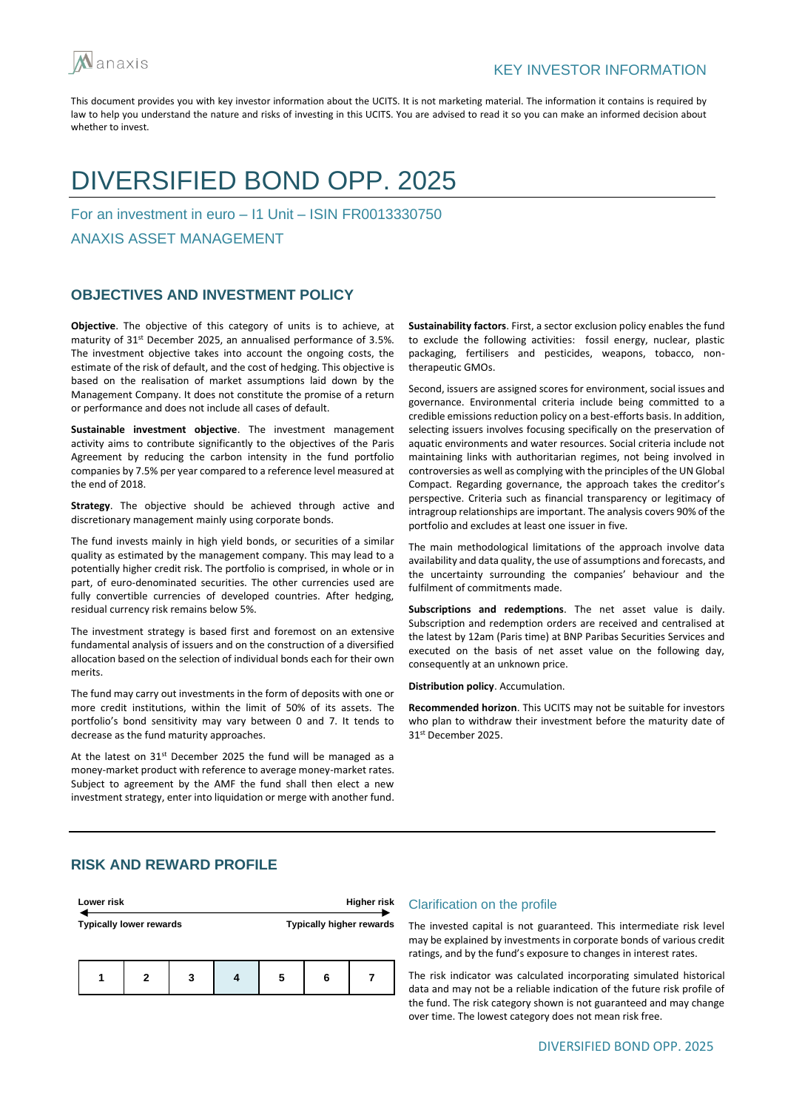

## DIVERSIFIED BOND OPP. 2025

For an investment in euro – I1 Unit – ISIN FR0013330750

ANAXIS ASSET MANAGEMENT

## **OBJECTIVES AND INVESTMENT POLICY**

**Objective**. The objective of this category of units is to achieve, at maturity of 31<sup>st</sup> December 2025, an annualised performance of 3.5%. The investment objective takes into account the ongoing costs, the estimate of the risk of default, and the cost of hedging. This objective is based on the realisation of market assumptions laid down by the Management Company. It does not constitute the promise of a return or performance and does not include all cases of default.

**Sustainable investment objective**. The investment management activity aims to contribute significantly to the objectives of the Paris Agreement by reducing the carbon intensity in the fund portfolio companies by 7.5% per year compared to a reference level measured at the end of 2018.

**Strategy**. The objective should be achieved through active and discretionary management mainly using corporate bonds.

The fund invests mainly in high yield bonds, or securities of a similar quality as estimated by the management company. This may lead to a potentially higher credit risk. The portfolio is comprised, in whole or in part, of euro-denominated securities. The other currencies used are fully convertible currencies of developed countries. After hedging, residual currency risk remains below 5%.

The investment strategy is based first and foremost on an extensive fundamental analysis of issuers and on the construction of a diversified allocation based on the selection of individual bonds each for their own merits.

The fund may carry out investments in the form of deposits with one or more credit institutions, within the limit of 50% of its assets. The portfolio's bond sensitivity may vary between 0 and 7. It tends to decrease as the fund maturity approaches.

At the latest on 31st December 2025 the fund will be managed as a money-market product with reference to average money-market rates. Subject to agreement by the AMF the fund shall then elect a new investment strategy, enter into liquidation or merge with another fund. **Sustainability factors**. First, a sector exclusion policy enables the fund to exclude the following activities: fossil energy, nuclear, plastic packaging, fertilisers and pesticides, weapons, tobacco, nontherapeutic GMOs.

Second, issuers are assigned scores for environment, social issues and governance. Environmental criteria include being committed to a credible emissions reduction policy on a best-efforts basis. In addition, selecting issuers involves focusing specifically on the preservation of aquatic environments and water resources. Social criteria include not maintaining links with authoritarian regimes, not being involved in controversies as well as complying with the principles of the UN Global Compact. Regarding governance, the approach takes the creditor's perspective. Criteria such as financial transparency or legitimacy of intragroup relationships are important. The analysis covers 90% of the portfolio and excludes at least one issuer in five.

The main methodological limitations of the approach involve data availability and data quality, the use of assumptions and forecasts, and the uncertainty surrounding the companies' behaviour and the fulfilment of commitments made.

**Subscriptions and redemptions**. The net asset value is daily. Subscription and redemption orders are received and centralised at the latest by 12am (Paris time) at BNP Paribas Securities Services and executed on the basis of net asset value on the following day, consequently at an unknown price.

**Distribution policy**. Accumulation.

**Recommended horizon**. This UCITS may not be suitable for investors who plan to withdraw their investment before the maturity date of 31st December 2025.

## **RISK AND REWARD PROFILE**

| Lower risk                     |   |   |  | <b>Higher risk</b> |   |                                 |  |
|--------------------------------|---|---|--|--------------------|---|---------------------------------|--|
| <b>Typically lower rewards</b> |   |   |  |                    |   | <b>Typically higher rewards</b> |  |
|                                | 2 | 3 |  | 5                  | 6 |                                 |  |

#### Clarification on the profile

The invested capital is not guaranteed. This intermediate risk level may be explained by investments in corporate bonds of various credit ratings, and by the fund's exposure to changes in interest rates.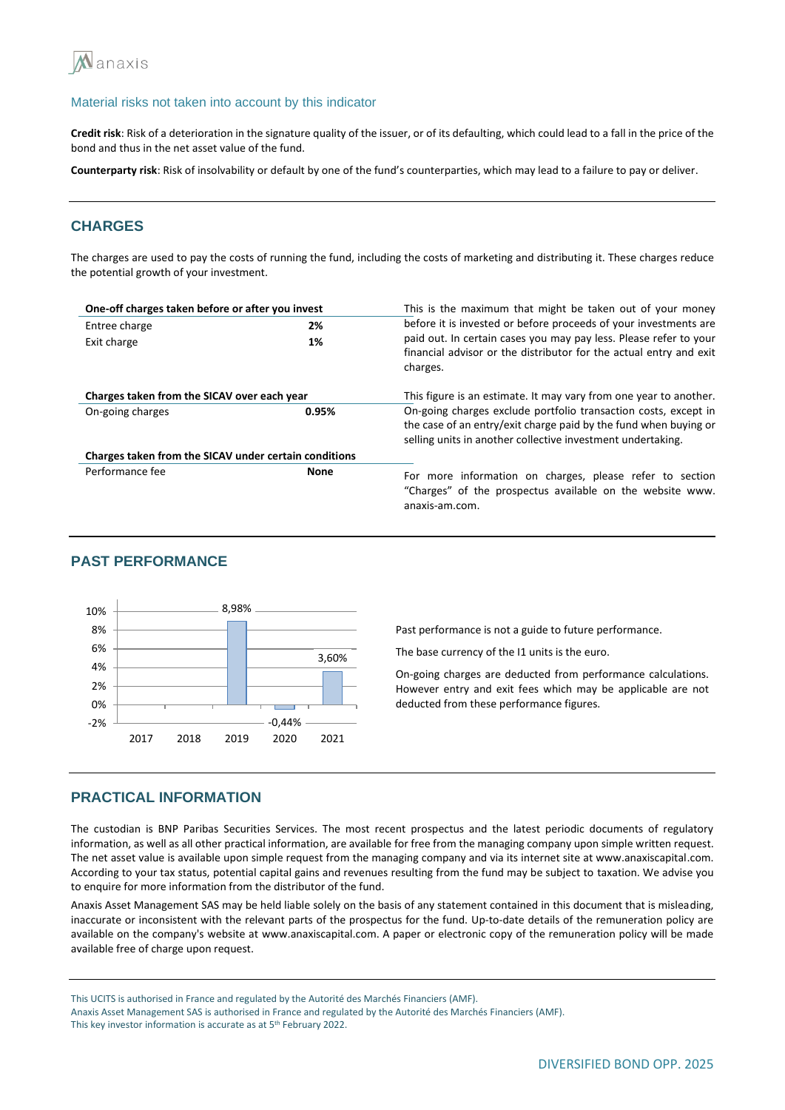

**Credit risk**: Risk of a deterioration in the signature quality of the issuer, or of its defaulting, which could lead to a fall in the price of the bond and thus in the net asset value of the fund.

**Counterparty risk**: Risk of insolvability or default by one of the fund's counterparties, which may lead to a failure to pay or deliver.

## **CHARGES**

The charges are used to pay the costs of running the fund, including the costs of marketing and distributing it. These charges reduce the potential growth of your investment.

| One-off charges taken before or after you invest      |             | This is the maximum that might be taken out of your money                                                                                                                                          |  |  |
|-------------------------------------------------------|-------------|----------------------------------------------------------------------------------------------------------------------------------------------------------------------------------------------------|--|--|
| Entree charge                                         | 2%          | before it is invested or before proceeds of your investments are                                                                                                                                   |  |  |
| Exit charge                                           | 1%          | paid out. In certain cases you may pay less. Please refer to your<br>financial advisor or the distributor for the actual entry and exit<br>charges.                                                |  |  |
| Charges taken from the SICAV over each year           |             | This figure is an estimate. It may vary from one year to another.                                                                                                                                  |  |  |
| On-going charges                                      | 0.95%       | On-going charges exclude portfolio transaction costs, except in<br>the case of an entry/exit charge paid by the fund when buying or<br>selling units in another collective investment undertaking. |  |  |
| Charges taken from the SICAV under certain conditions |             |                                                                                                                                                                                                    |  |  |
| Performance fee                                       | <b>None</b> | For more information on charges, please refer to section<br>"Charges" of the prospectus available on the website www.<br>anaxis-am.com.                                                            |  |  |

## **PAST PERFORMANCE**



Past performance is not a guide to future performance.

The base currency of the I1 units is the euro.

On-going charges are deducted from performance calculations. However entry and exit fees which may be applicable are not deducted from these performance figures.

#### **PRACTICAL INFORMATION**

The custodian is BNP Paribas Securities Services. The most recent prospectus and the latest periodic documents of regulatory information, as well as all other practical information, are available for free from the managing company upon simple written request. The net asset value is available upon simple request from the managing company and via its internet site at www.anaxiscapital.com. According to your tax status, potential capital gains and revenues resulting from the fund may be subject to taxation. We advise you to enquire for more information from the distributor of the fund.

Anaxis Asset Management SAS may be held liable solely on the basis of any statement contained in this document that is misleading, inaccurate or inconsistent with the relevant parts of the prospectus for the fund. Up-to-date details of the remuneration policy are available on the company's website at www.anaxiscapital.com. A paper or electronic copy of the remuneration policy will be made available free of charge upon request.

This UCITS is authorised in France and regulated by the Autorité des Marchés Financiers (AMF).

Anaxis Asset Management SAS is authorised in France and regulated by the Autorité des Marchés Financiers (AMF). This key investor information is accurate as at 5<sup>th</sup> February 2022.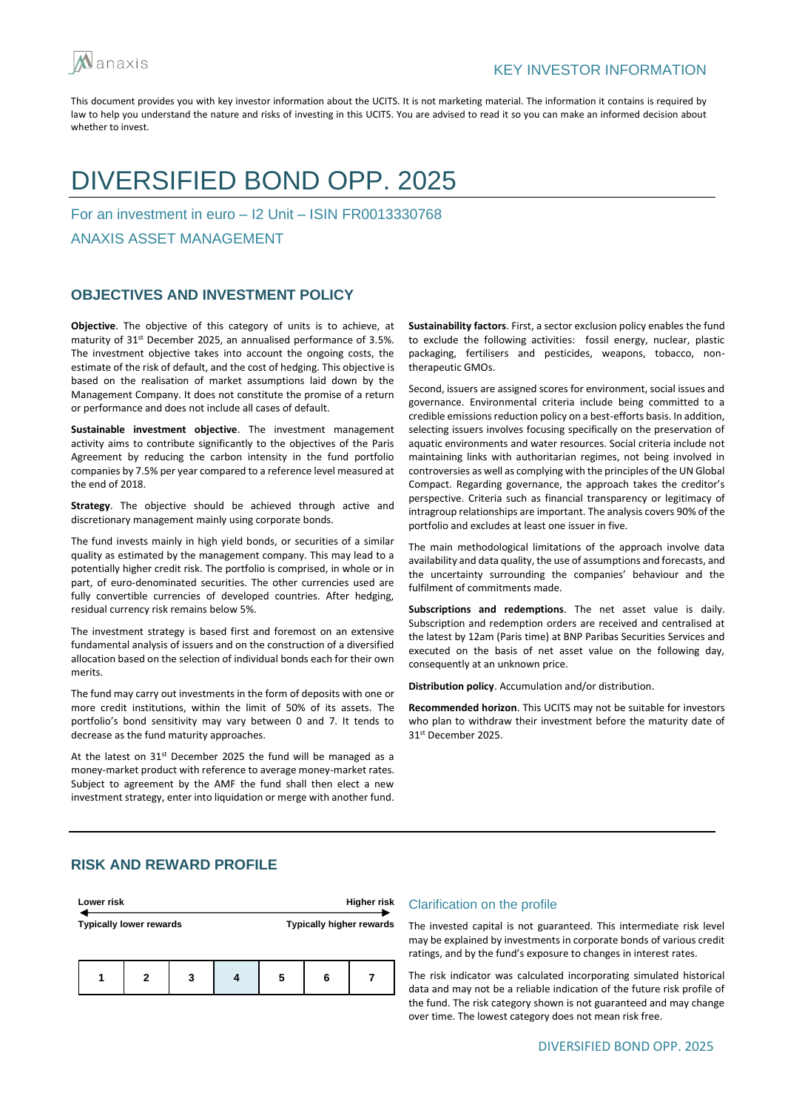

## DIVERSIFIED BOND OPP. 2025

For an investment in euro – I2 Unit – ISIN FR0013330768

ANAXIS ASSET MANAGEMENT

## **OBJECTIVES AND INVESTMENT POLICY**

**Objective**. The objective of this category of units is to achieve, at maturity of 31<sup>st</sup> December 2025, an annualised performance of 3.5%. The investment objective takes into account the ongoing costs, the estimate of the risk of default, and the cost of hedging. This objective is based on the realisation of market assumptions laid down by the Management Company. It does not constitute the promise of a return or performance and does not include all cases of default.

**Sustainable investment objective**. The investment management activity aims to contribute significantly to the objectives of the Paris Agreement by reducing the carbon intensity in the fund portfolio companies by 7.5% per year compared to a reference level measured at the end of 2018.

**Strategy**. The objective should be achieved through active and discretionary management mainly using corporate bonds.

The fund invests mainly in high yield bonds, or securities of a similar quality as estimated by the management company. This may lead to a potentially higher credit risk. The portfolio is comprised, in whole or in part, of euro-denominated securities. The other currencies used are fully convertible currencies of developed countries. After hedging, residual currency risk remains below 5%.

The investment strategy is based first and foremost on an extensive fundamental analysis of issuers and on the construction of a diversified allocation based on the selection of individual bonds each for their own merits.

The fund may carry out investments in the form of deposits with one or more credit institutions, within the limit of 50% of its assets. The portfolio's bond sensitivity may vary between 0 and 7. It tends to decrease as the fund maturity approaches.

At the latest on 31st December 2025 the fund will be managed as a money-market product with reference to average money-market rates. Subject to agreement by the AMF the fund shall then elect a new investment strategy, enter into liquidation or merge with another fund. **Sustainability factors**. First, a sector exclusion policy enables the fund to exclude the following activities: fossil energy, nuclear, plastic packaging, fertilisers and pesticides, weapons, tobacco, nontherapeutic GMOs.

Second, issuers are assigned scores for environment, social issues and governance. Environmental criteria include being committed to a credible emissions reduction policy on a best-efforts basis. In addition, selecting issuers involves focusing specifically on the preservation of aquatic environments and water resources. Social criteria include not maintaining links with authoritarian regimes, not being involved in controversies as well as complying with the principles of the UN Global Compact. Regarding governance, the approach takes the creditor's perspective. Criteria such as financial transparency or legitimacy of intragroup relationships are important. The analysis covers 90% of the portfolio and excludes at least one issuer in five.

The main methodological limitations of the approach involve data availability and data quality, the use of assumptions and forecasts, and the uncertainty surrounding the companies' behaviour and the fulfilment of commitments made.

**Subscriptions and redemptions**. The net asset value is daily. Subscription and redemption orders are received and centralised at the latest by 12am (Paris time) at BNP Paribas Securities Services and executed on the basis of net asset value on the following day, consequently at an unknown price.

**Distribution policy**. Accumulation and/or distribution.

**Recommended horizon**. This UCITS may not be suitable for investors who plan to withdraw their investment before the maturity date of 31st December 2025.

## **RISK AND REWARD PROFILE**

| Lower risk                     |   |   | <b>Higher risk</b> |   |                          |
|--------------------------------|---|---|--------------------|---|--------------------------|
| <b>Typically lower rewards</b> |   |   |                    |   | Typically higher rewards |
|                                | 2 | 3 | 5                  | 6 |                          |

#### Clarification on the profile

The invested capital is not guaranteed. This intermediate risk level may be explained by investments in corporate bonds of various credit ratings, and by the fund's exposure to changes in interest rates.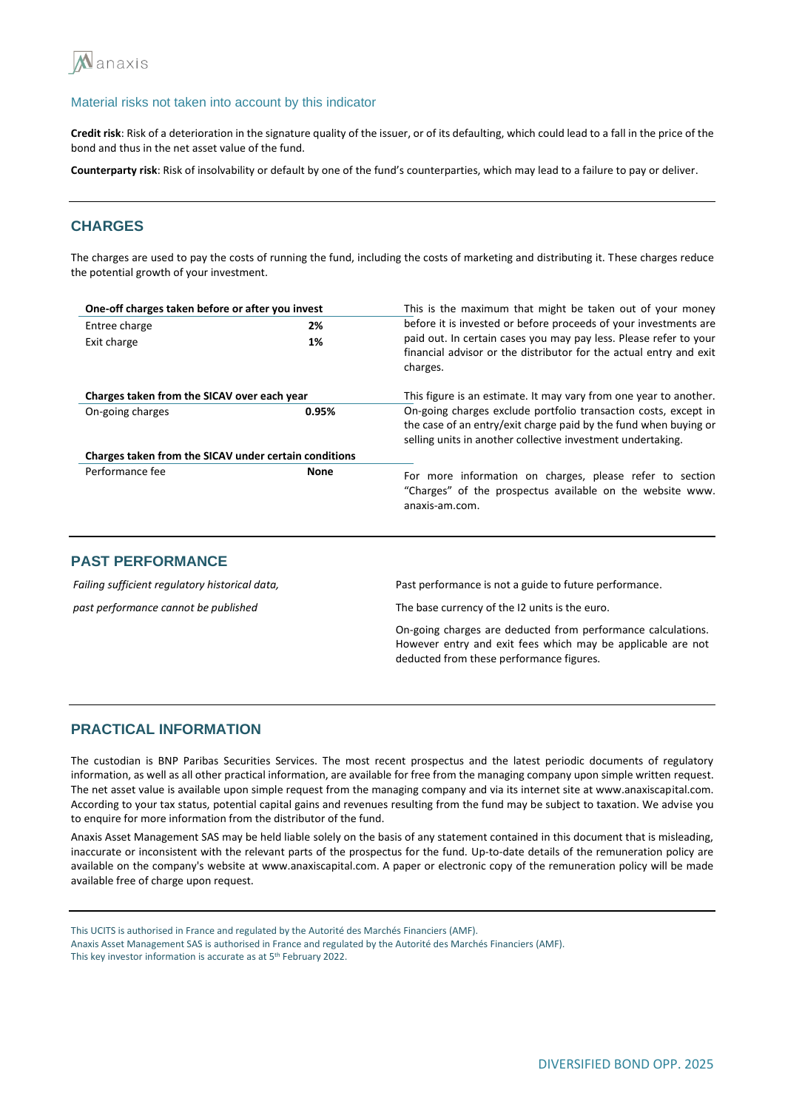

**Credit risk**: Risk of a deterioration in the signature quality of the issuer, or of its defaulting, which could lead to a fall in the price of the bond and thus in the net asset value of the fund.

**Counterparty risk**: Risk of insolvability or default by one of the fund's counterparties, which may lead to a failure to pay or deliver.

## **CHARGES**

The charges are used to pay the costs of running the fund, including the costs of marketing and distributing it. These charges reduce the potential growth of your investment.

| One-off charges taken before or after you invest      |             | This is the maximum that might be taken out of your money                                                                                                                                          |  |  |
|-------------------------------------------------------|-------------|----------------------------------------------------------------------------------------------------------------------------------------------------------------------------------------------------|--|--|
| Entree charge                                         | 2%          | before it is invested or before proceeds of your investments are                                                                                                                                   |  |  |
| Exit charge                                           | 1%          | paid out. In certain cases you may pay less. Please refer to your<br>financial advisor or the distributor for the actual entry and exit<br>charges.                                                |  |  |
| Charges taken from the SICAV over each year           |             | This figure is an estimate. It may vary from one year to another.                                                                                                                                  |  |  |
| On-going charges                                      | 0.95%       | On-going charges exclude portfolio transaction costs, except in<br>the case of an entry/exit charge paid by the fund when buying or<br>selling units in another collective investment undertaking. |  |  |
| Charges taken from the SICAV under certain conditions |             |                                                                                                                                                                                                    |  |  |
| Performance fee                                       | <b>None</b> | For more information on charges, please refer to section<br>"Charges" of the prospectus available on the website www.<br>anaxis-am.com.                                                            |  |  |

## **PAST PERFORMANCE**

*Failing sufficient regulatory historical data, past performance cannot be published*

Past performance is not a guide to future performance.

The base currency of the I2 units is the euro.

On-going charges are deducted from performance calculations. However entry and exit fees which may be applicable are not deducted from these performance figures.

## **PRACTICAL INFORMATION**

The custodian is BNP Paribas Securities Services. The most recent prospectus and the latest periodic documents of regulatory information, as well as all other practical information, are available for free from the managing company upon simple written request. The net asset value is available upon simple request from the managing company and via its internet site at www.anaxiscapital.com. According to your tax status, potential capital gains and revenues resulting from the fund may be subject to taxation. We advise you to enquire for more information from the distributor of the fund.

Anaxis Asset Management SAS may be held liable solely on the basis of any statement contained in this document that is misleading, inaccurate or inconsistent with the relevant parts of the prospectus for the fund. Up-to-date details of the remuneration policy are available on the company's website at www.anaxiscapital.com. A paper or electronic copy of the remuneration policy will be made available free of charge upon request.

This UCITS is authorised in France and regulated by the Autorité des Marchés Financiers (AMF).

Anaxis Asset Management SAS is authorised in France and regulated by the Autorité des Marchés Financiers (AMF).

This key investor information is accurate as at 5<sup>th</sup> February 2022.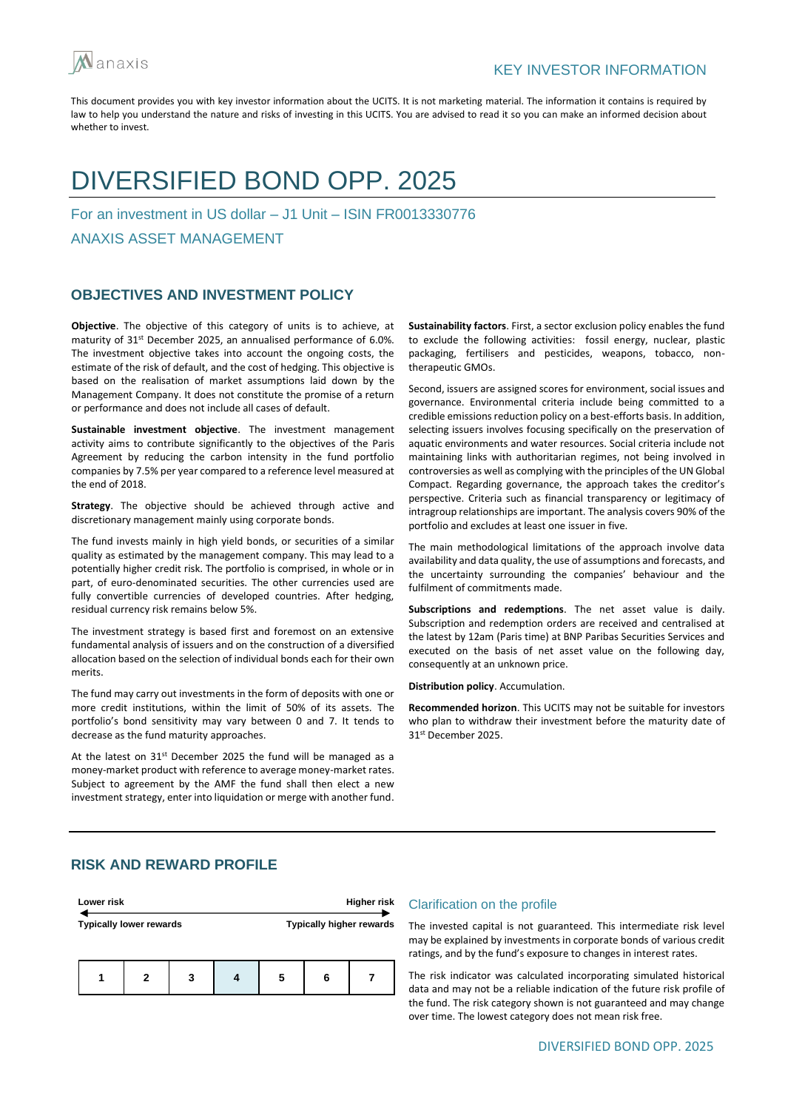

## DIVERSIFIED BOND OPP. 2025

For an investment in US dollar – J1 Unit – ISIN FR0013330776

ANAXIS ASSET MANAGEMENT

## **OBJECTIVES AND INVESTMENT POLICY**

**Objective**. The objective of this category of units is to achieve, at maturity of 31<sup>st</sup> December 2025, an annualised performance of 6.0%. The investment objective takes into account the ongoing costs, the estimate of the risk of default, and the cost of hedging. This objective is based on the realisation of market assumptions laid down by the Management Company. It does not constitute the promise of a return or performance and does not include all cases of default.

**Sustainable investment objective**. The investment management activity aims to contribute significantly to the objectives of the Paris Agreement by reducing the carbon intensity in the fund portfolio companies by 7.5% per year compared to a reference level measured at the end of 2018.

**Strategy**. The objective should be achieved through active and discretionary management mainly using corporate bonds.

The fund invests mainly in high yield bonds, or securities of a similar quality as estimated by the management company. This may lead to a potentially higher credit risk. The portfolio is comprised, in whole or in part, of euro-denominated securities. The other currencies used are fully convertible currencies of developed countries. After hedging, residual currency risk remains below 5%.

The investment strategy is based first and foremost on an extensive fundamental analysis of issuers and on the construction of a diversified allocation based on the selection of individual bonds each for their own merits.

The fund may carry out investments in the form of deposits with one or more credit institutions, within the limit of 50% of its assets. The portfolio's bond sensitivity may vary between 0 and 7. It tends to decrease as the fund maturity approaches.

At the latest on 31st December 2025 the fund will be managed as a money-market product with reference to average money-market rates. Subject to agreement by the AMF the fund shall then elect a new investment strategy, enter into liquidation or merge with another fund. **Sustainability factors**. First, a sector exclusion policy enables the fund to exclude the following activities: fossil energy, nuclear, plastic packaging, fertilisers and pesticides, weapons, tobacco, nontherapeutic GMOs.

Second, issuers are assigned scores for environment, social issues and governance. Environmental criteria include being committed to a credible emissions reduction policy on a best-efforts basis. In addition, selecting issuers involves focusing specifically on the preservation of aquatic environments and water resources. Social criteria include not maintaining links with authoritarian regimes, not being involved in controversies as well as complying with the principles of the UN Global Compact. Regarding governance, the approach takes the creditor's perspective. Criteria such as financial transparency or legitimacy of intragroup relationships are important. The analysis covers 90% of the portfolio and excludes at least one issuer in five.

The main methodological limitations of the approach involve data availability and data quality, the use of assumptions and forecasts, and the uncertainty surrounding the companies' behaviour and the fulfilment of commitments made.

**Subscriptions and redemptions**. The net asset value is daily. Subscription and redemption orders are received and centralised at the latest by 12am (Paris time) at BNP Paribas Securities Services and executed on the basis of net asset value on the following day, consequently at an unknown price.

**Distribution policy**. Accumulation.

**Recommended horizon**. This UCITS may not be suitable for investors who plan to withdraw their investment before the maturity date of 31st December 2025.

## **RISK AND REWARD PROFILE**

| Lower risk                     |   |   |  | <b>Higher risk</b> |                                 |  |  |
|--------------------------------|---|---|--|--------------------|---------------------------------|--|--|
| <b>Typically lower rewards</b> |   |   |  |                    | <b>Typically higher rewards</b> |  |  |
|                                | 2 | 3 |  | 5                  | 6                               |  |  |

#### Clarification on the profile

The invested capital is not guaranteed. This intermediate risk level may be explained by investments in corporate bonds of various credit ratings, and by the fund's exposure to changes in interest rates.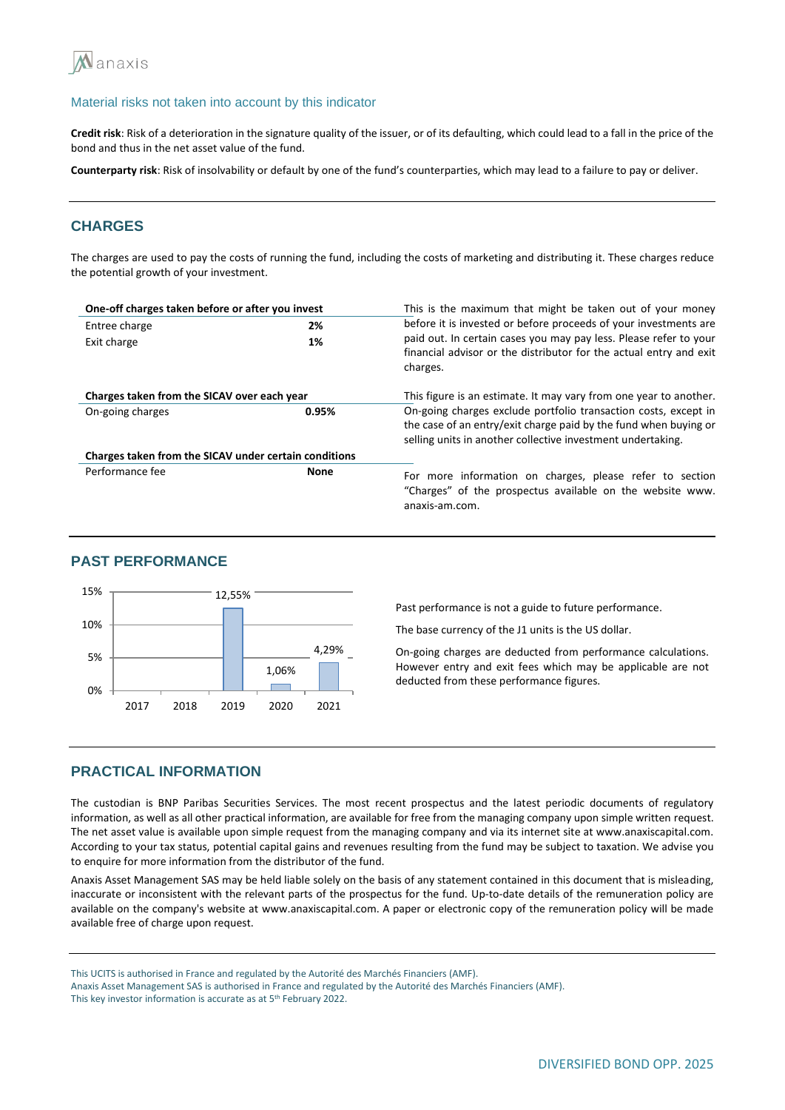

**Credit risk**: Risk of a deterioration in the signature quality of the issuer, or of its defaulting, which could lead to a fall in the price of the bond and thus in the net asset value of the fund.

**Counterparty risk**: Risk of insolvability or default by one of the fund's counterparties, which may lead to a failure to pay or deliver.

## **CHARGES**

The charges are used to pay the costs of running the fund, including the costs of marketing and distributing it. These charges reduce the potential growth of your investment.

| One-off charges taken before or after you invest      |             | This is the maximum that might be taken out of your money                                                                                                                                          |  |  |
|-------------------------------------------------------|-------------|----------------------------------------------------------------------------------------------------------------------------------------------------------------------------------------------------|--|--|
| Entree charge<br>2%                                   |             | before it is invested or before proceeds of your investments are                                                                                                                                   |  |  |
| Exit charge                                           | 1%          | paid out. In certain cases you may pay less. Please refer to your<br>financial advisor or the distributor for the actual entry and exit<br>charges.                                                |  |  |
| Charges taken from the SICAV over each year           |             | This figure is an estimate. It may vary from one year to another.                                                                                                                                  |  |  |
| On-going charges                                      | 0.95%       | On-going charges exclude portfolio transaction costs, except in<br>the case of an entry/exit charge paid by the fund when buying or<br>selling units in another collective investment undertaking. |  |  |
| Charges taken from the SICAV under certain conditions |             |                                                                                                                                                                                                    |  |  |
| Performance fee                                       | <b>None</b> | For more information on charges, please refer to section<br>"Charges" of the prospectus available on the website www.<br>anaxis-am.com.                                                            |  |  |

#### **PAST PERFORMANCE**



Past performance is not a guide to future performance.

The base currency of the J1 units is the US dollar.

On-going charges are deducted from performance calculations. However entry and exit fees which may be applicable are not deducted from these performance figures.

## **PRACTICAL INFORMATION**

The custodian is BNP Paribas Securities Services. The most recent prospectus and the latest periodic documents of regulatory information, as well as all other practical information, are available for free from the managing company upon simple written request. The net asset value is available upon simple request from the managing company and via its internet site at www.anaxiscapital.com. According to your tax status, potential capital gains and revenues resulting from the fund may be subject to taxation. We advise you to enquire for more information from the distributor of the fund.

Anaxis Asset Management SAS may be held liable solely on the basis of any statement contained in this document that is misleading, inaccurate or inconsistent with the relevant parts of the prospectus for the fund. Up-to-date details of the remuneration policy are available on the company's website at www.anaxiscapital.com. A paper or electronic copy of the remuneration policy will be made available free of charge upon request.

This UCITS is authorised in France and regulated by the Autorité des Marchés Financiers (AMF).

Anaxis Asset Management SAS is authorised in France and regulated by the Autorité des Marchés Financiers (AMF). This key investor information is accurate as at 5<sup>th</sup> February 2022.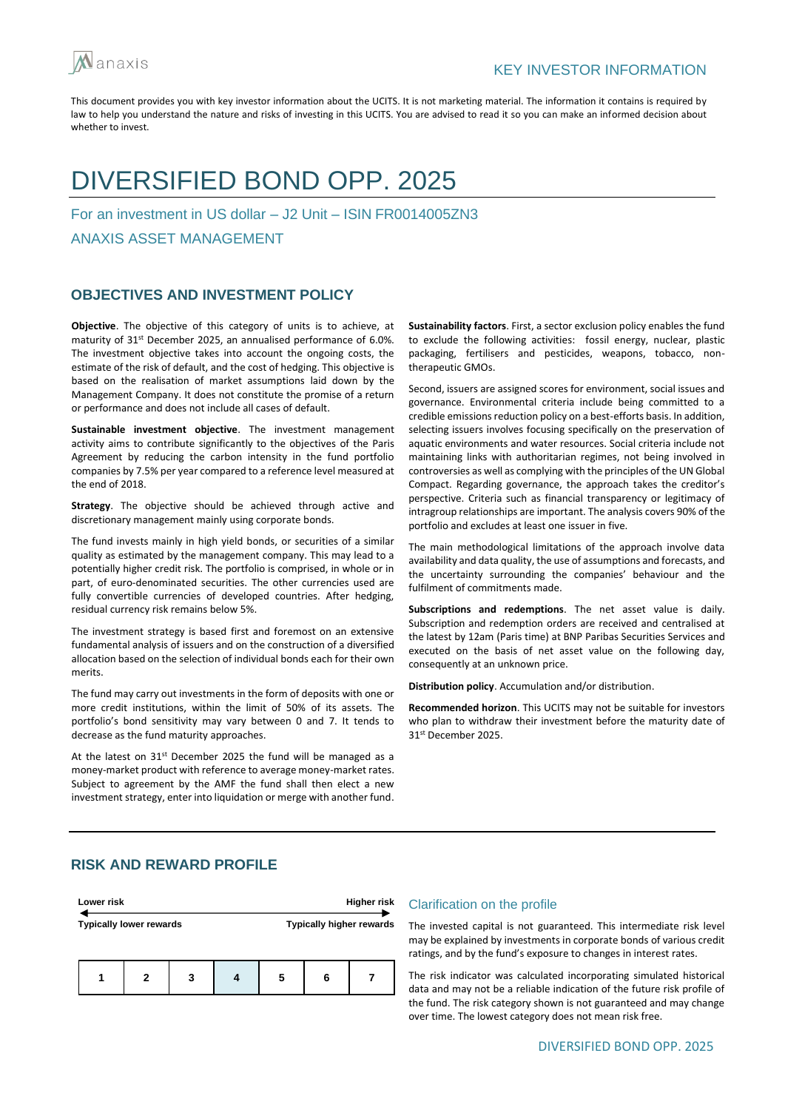

## DIVERSIFIED BOND OPP. 2025

For an investment in US dollar – J2 Unit – ISIN FR0014005ZN3

ANAXIS ASSET MANAGEMENT

## **OBJECTIVES AND INVESTMENT POLICY**

**Objective**. The objective of this category of units is to achieve, at maturity of 31<sup>st</sup> December 2025, an annualised performance of 6.0%. The investment objective takes into account the ongoing costs, the estimate of the risk of default, and the cost of hedging. This objective is based on the realisation of market assumptions laid down by the Management Company. It does not constitute the promise of a return or performance and does not include all cases of default.

**Sustainable investment objective**. The investment management activity aims to contribute significantly to the objectives of the Paris Agreement by reducing the carbon intensity in the fund portfolio companies by 7.5% per year compared to a reference level measured at the end of 2018.

**Strategy**. The objective should be achieved through active and discretionary management mainly using corporate bonds.

The fund invests mainly in high yield bonds, or securities of a similar quality as estimated by the management company. This may lead to a potentially higher credit risk. The portfolio is comprised, in whole or in part, of euro-denominated securities. The other currencies used are fully convertible currencies of developed countries. After hedging, residual currency risk remains below 5%.

The investment strategy is based first and foremost on an extensive fundamental analysis of issuers and on the construction of a diversified allocation based on the selection of individual bonds each for their own merits.

The fund may carry out investments in the form of deposits with one or more credit institutions, within the limit of 50% of its assets. The portfolio's bond sensitivity may vary between 0 and 7. It tends to decrease as the fund maturity approaches.

At the latest on 31st December 2025 the fund will be managed as a money-market product with reference to average money-market rates. Subject to agreement by the AMF the fund shall then elect a new investment strategy, enter into liquidation or merge with another fund. **Sustainability factors**. First, a sector exclusion policy enables the fund to exclude the following activities: fossil energy, nuclear, plastic packaging, fertilisers and pesticides, weapons, tobacco, nontherapeutic GMOs.

Second, issuers are assigned scores for environment, social issues and governance. Environmental criteria include being committed to a credible emissions reduction policy on a best-efforts basis. In addition, selecting issuers involves focusing specifically on the preservation of aquatic environments and water resources. Social criteria include not maintaining links with authoritarian regimes, not being involved in controversies as well as complying with the principles of the UN Global Compact. Regarding governance, the approach takes the creditor's perspective. Criteria such as financial transparency or legitimacy of intragroup relationships are important. The analysis covers 90% of the portfolio and excludes at least one issuer in five.

The main methodological limitations of the approach involve data availability and data quality, the use of assumptions and forecasts, and the uncertainty surrounding the companies' behaviour and the fulfilment of commitments made.

**Subscriptions and redemptions**. The net asset value is daily. Subscription and redemption orders are received and centralised at the latest by 12am (Paris time) at BNP Paribas Securities Services and executed on the basis of net asset value on the following day, consequently at an unknown price.

**Distribution policy**. Accumulation and/or distribution.

**Recommended horizon**. This UCITS may not be suitable for investors who plan to withdraw their investment before the maturity date of 31st December 2025.

## **RISK AND REWARD PROFILE**

| Lower risk                     |   |   |  | Higher risk                     |   |  |  |
|--------------------------------|---|---|--|---------------------------------|---|--|--|
| <b>Typically lower rewards</b> |   |   |  | <b>Typically higher rewards</b> |   |  |  |
|                                | 2 | 3 |  | 5                               | 6 |  |  |

#### Clarification on the profile

The invested capital is not guaranteed. This intermediate risk level may be explained by investments in corporate bonds of various credit ratings, and by the fund's exposure to changes in interest rates.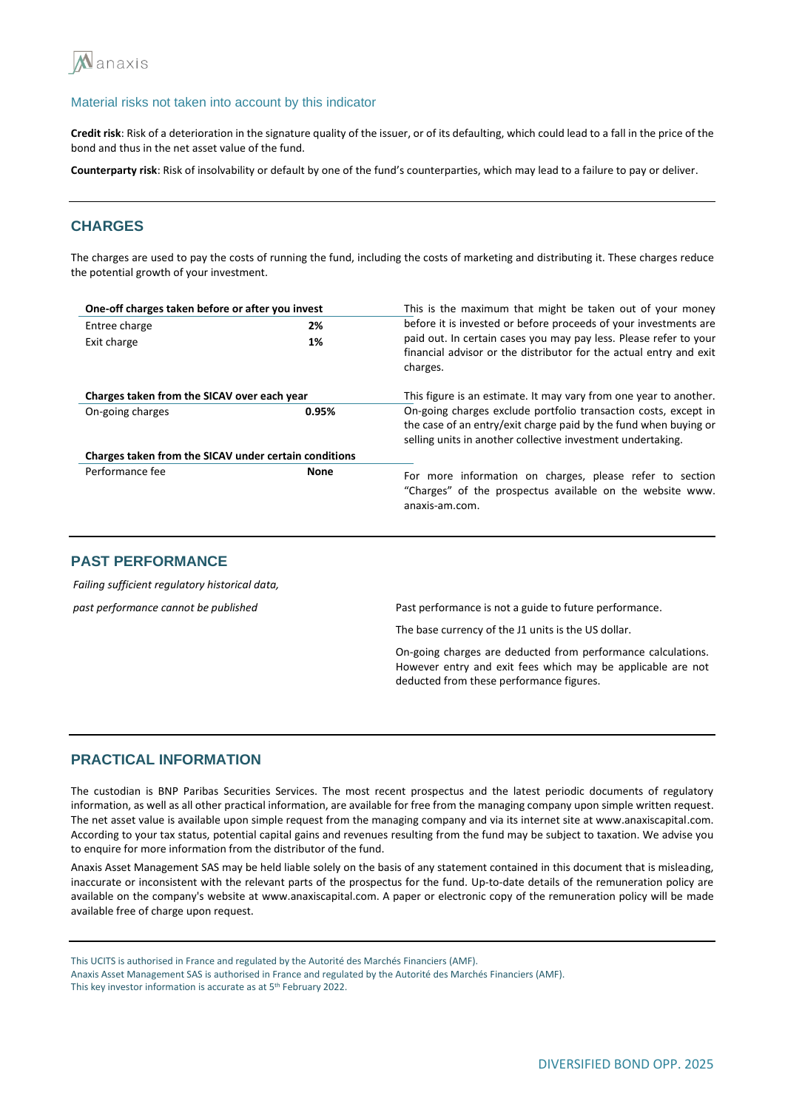

**Credit risk**: Risk of a deterioration in the signature quality of the issuer, or of its defaulting, which could lead to a fall in the price of the bond and thus in the net asset value of the fund.

**Counterparty risk**: Risk of insolvability or default by one of the fund's counterparties, which may lead to a failure to pay or deliver.

## **CHARGES**

The charges are used to pay the costs of running the fund, including the costs of marketing and distributing it. These charges reduce the potential growth of your investment.

| One-off charges taken before or after you invest      |             | This is the maximum that might be taken out of your money                                                                                                                                          |  |  |  |
|-------------------------------------------------------|-------------|----------------------------------------------------------------------------------------------------------------------------------------------------------------------------------------------------|--|--|--|
| 2%<br>Entree charge                                   |             | before it is invested or before proceeds of your investments are                                                                                                                                   |  |  |  |
| Exit charge                                           | 1%          | paid out. In certain cases you may pay less. Please refer to your<br>financial advisor or the distributor for the actual entry and exit<br>charges.                                                |  |  |  |
| Charges taken from the SICAV over each year           |             | This figure is an estimate. It may vary from one year to another.                                                                                                                                  |  |  |  |
| On-going charges                                      | 0.95%       | On-going charges exclude portfolio transaction costs, except in<br>the case of an entry/exit charge paid by the fund when buying or<br>selling units in another collective investment undertaking. |  |  |  |
| Charges taken from the SICAV under certain conditions |             |                                                                                                                                                                                                    |  |  |  |
| Performance fee                                       | <b>None</b> | For more information on charges, please refer to section<br>"Charges" of the prospectus available on the website www.<br>anaxis-am.com.                                                            |  |  |  |

## **PAST PERFORMANCE**

*Failing sufficient regulatory historical data,* 

*past performance cannot be published* Past performance is not a guide to future performance.

The base currency of the J1 units is the US dollar.

On-going charges are deducted from performance calculations. However entry and exit fees which may be applicable are not deducted from these performance figures.

## **PRACTICAL INFORMATION**

The custodian is BNP Paribas Securities Services. The most recent prospectus and the latest periodic documents of regulatory information, as well as all other practical information, are available for free from the managing company upon simple written request. The net asset value is available upon simple request from the managing company and via its internet site at www.anaxiscapital.com. According to your tax status, potential capital gains and revenues resulting from the fund may be subject to taxation. We advise you to enquire for more information from the distributor of the fund.

Anaxis Asset Management SAS may be held liable solely on the basis of any statement contained in this document that is misleading, inaccurate or inconsistent with the relevant parts of the prospectus for the fund. Up-to-date details of the remuneration policy are available on the company's website at www.anaxiscapital.com. A paper or electronic copy of the remuneration policy will be made available free of charge upon request.

This UCITS is authorised in France and regulated by the Autorité des Marchés Financiers (AMF).

Anaxis Asset Management SAS is authorised in France and regulated by the Autorité des Marchés Financiers (AMF). This key investor information is accurate as at 5<sup>th</sup> February 2022.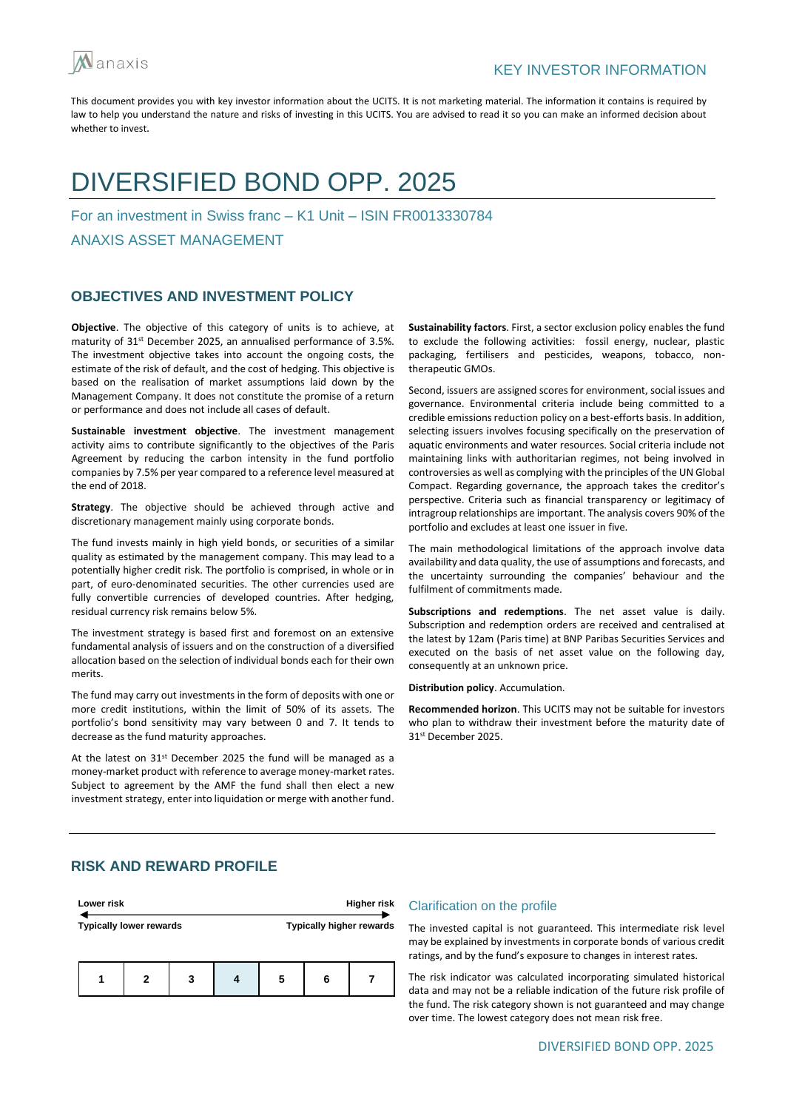

## DIVERSIFIED BOND OPP. 2025

For an investment in Swiss franc – K1 Unit – ISIN FR0013330784

ANAXIS ASSET MANAGEMENT

## **OBJECTIVES AND INVESTMENT POLICY**

**Objective**. The objective of this category of units is to achieve, at maturity of 31st December 2025, an annualised performance of 3.5%. The investment objective takes into account the ongoing costs, the estimate of the risk of default, and the cost of hedging. This objective is based on the realisation of market assumptions laid down by the Management Company. It does not constitute the promise of a return or performance and does not include all cases of default.

**Sustainable investment objective**. The investment management activity aims to contribute significantly to the objectives of the Paris Agreement by reducing the carbon intensity in the fund portfolio companies by 7.5% per year compared to a reference level measured at the end of 2018.

**Strategy**. The objective should be achieved through active and discretionary management mainly using corporate bonds.

The fund invests mainly in high yield bonds, or securities of a similar quality as estimated by the management company. This may lead to a potentially higher credit risk. The portfolio is comprised, in whole or in part, of euro-denominated securities. The other currencies used are fully convertible currencies of developed countries. After hedging, residual currency risk remains below 5%.

The investment strategy is based first and foremost on an extensive fundamental analysis of issuers and on the construction of a diversified allocation based on the selection of individual bonds each for their own merits.

The fund may carry out investments in the form of deposits with one or more credit institutions, within the limit of 50% of its assets. The portfolio's bond sensitivity may vary between 0 and 7. It tends to decrease as the fund maturity approaches.

At the latest on 31<sup>st</sup> December 2025 the fund will be managed as a money-market product with reference to average money-market rates. Subject to agreement by the AMF the fund shall then elect a new investment strategy, enter into liquidation or merge with another fund. **Sustainability factors**. First, a sector exclusion policy enables the fund to exclude the following activities: fossil energy, nuclear, plastic packaging, fertilisers and pesticides, weapons, tobacco, nontherapeutic GMOs.

Second, issuers are assigned scores for environment, social issues and governance. Environmental criteria include being committed to a credible emissions reduction policy on a best-efforts basis. In addition, selecting issuers involves focusing specifically on the preservation of aquatic environments and water resources. Social criteria include not maintaining links with authoritarian regimes, not being involved in controversies as well as complying with the principles of the UN Global Compact. Regarding governance, the approach takes the creditor's perspective. Criteria such as financial transparency or legitimacy of intragroup relationships are important. The analysis covers 90% of the portfolio and excludes at least one issuer in five.

The main methodological limitations of the approach involve data availability and data quality, the use of assumptions and forecasts, and the uncertainty surrounding the companies' behaviour and the fulfilment of commitments made.

**Subscriptions and redemptions**. The net asset value is daily. Subscription and redemption orders are received and centralised at the latest by 12am (Paris time) at BNP Paribas Securities Services and executed on the basis of net asset value on the following day, consequently at an unknown price.

**Distribution policy**. Accumulation.

**Recommended horizon**. This UCITS may not be suitable for investors who plan to withdraw their investment before the maturity date of 31st December 2025.

## **RISK AND REWARD PROFILE**

| Lower risk                     |   |   |  | Higher risk                     |   |  |
|--------------------------------|---|---|--|---------------------------------|---|--|
| <b>Typically lower rewards</b> |   |   |  | <b>Typically higher rewards</b> |   |  |
|                                | 2 | 3 |  | 5                               | 6 |  |

#### Clarification on the profile

The invested capital is not guaranteed. This intermediate risk level may be explained by investments in corporate bonds of various credit ratings, and by the fund's exposure to changes in interest rates.